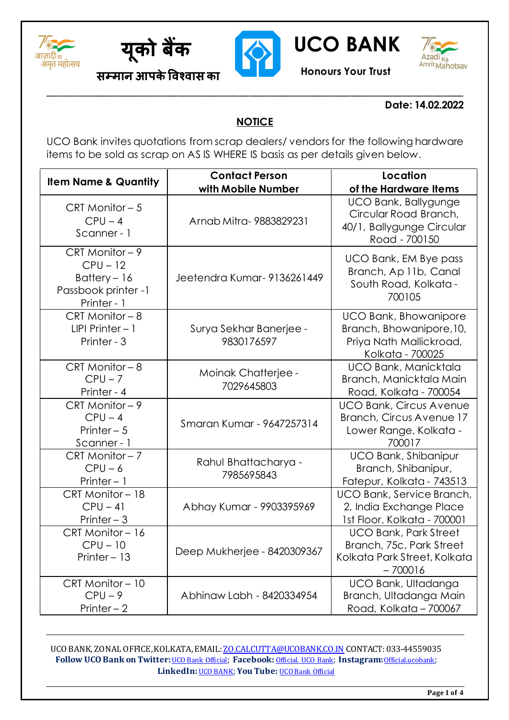





**को बैंक UCO BANK**



**सम्मान आपकेविश्िास का Honours Your Trust**

## **Date: 14.02.2022**

## **NOTICE**

**\_\_\_\_\_\_\_\_\_\_\_\_\_\_\_\_\_\_\_\_\_\_\_\_\_\_\_\_\_\_\_\_\_\_\_\_\_\_\_\_\_\_\_\_\_\_\_\_\_\_\_\_\_\_\_\_\_\_\_\_\_\_\_\_\_\_\_\_\_\_\_\_\_\_\_\_\_\_\_\_\_**

UCO Bank invites quotations from scrap dealers/ vendors for the following hardware items to be sold as scrap on AS IS WHERE IS basis as per details given below.

| <b>Item Name &amp; Quantity</b>                                                     | <b>Contact Person</b><br>with Mobile Number | Location<br>of the Hardware Items                                                                       |  |
|-------------------------------------------------------------------------------------|---------------------------------------------|---------------------------------------------------------------------------------------------------------|--|
| CRT Monitor - 5<br>$CPU - 4$<br>Scanner - 1                                         | Arnab Mitra-9883829231                      | UCO Bank, Ballygunge<br>Circular Road Branch,<br>40/1, Ballygunge Circular<br>Road - 700150             |  |
| CRT Monitor - 9<br>$CPU - 12$<br>Battery - 16<br>Passbook printer -1<br>Printer - 1 | Jeetendra Kumar-9136261449                  | UCO Bank, EM Bye pass<br>Branch, Ap 11b, Canal<br>South Road, Kolkata -<br>700105                       |  |
| $CRT$ Monitor $-8$<br>$LIPI$ Printer $-1$<br>Printer - 3                            | Surya Sekhar Banerjee -<br>9830176597       | <b>UCO Bank, Bhowanipore</b><br>Branch, Bhowanipore, 10,<br>Priya Nath Mallickroad,<br>Kolkata - 700025 |  |
| CRT Monitor - 8<br>$CPU - 7$<br>Printer - 4                                         | Moinak Chatterjee -<br>7029645803           | UCO Bank, Manicktala<br>Branch, Manicktala Main<br>Road, Kolkata - 700054                               |  |
| CRT Monitor $-9$<br>$CPU - 4$<br>Printer $-5$<br>Scanner - 1                        | Smaran Kumar - 9647257314                   | <b>UCO Bank, Circus Avenue</b><br>Branch, Circus Avenue 17<br>Lower Range, Kolkata -<br>700017          |  |
| $CRT$ Monitor $-7$<br>$CPU - 6$<br>Printer $-1$                                     | Rahul Bhattacharya -<br>7985695843          | <b>UCO Bank, Shibanipur</b><br>Branch, Shibanipur,<br>Fatepur, Kolkata - 743513                         |  |
| CRT Monitor - 18<br>$CPU - 41$<br>Printer $-3$                                      | Abhay Kumar - 9903395969                    | UCO Bank, Service Branch,<br>2, India Exchange Place<br>1st Floor, Kolkata - 700001                     |  |
| CRT Monitor-16<br>$CPU - 10$<br>Printer - 13                                        | Deep Mukherjee - 8420309367                 | <b>UCO Bank, Park Street</b><br>Branch, 75c, Park Street<br>Kolkata Park Street, Kolkata<br>$-700016$   |  |
| CRT Monitor-10<br>$CPU-9$<br>Printer $-2$                                           | Abhinaw Labh - 8420334954                   | UCO Bank, Ultadanga<br>Branch, Ultadanga Main<br>Road, Kolkata - 700067                                 |  |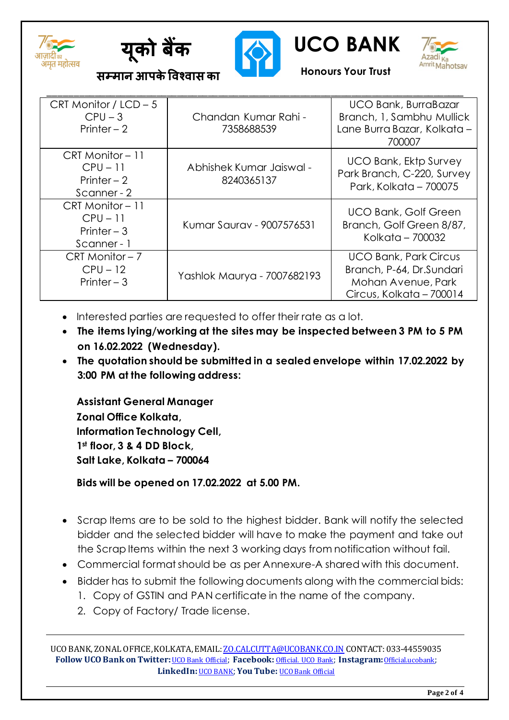





**को बैंक UCO BANK**



**सम्मान आपकेविश्िास का Honours Your Trust**

| CRT Monitor / $LCD - 5$<br>$CPU - 3$<br>Printer $-2$          | Chandan Kumar Rahi -<br>7358688539     | <b>UCO Bank, BurraBazar</b><br>Branch, 1, Sambhu Mullick<br>Lane Burra Bazar, Kolkata -<br>700007          |
|---------------------------------------------------------------|----------------------------------------|------------------------------------------------------------------------------------------------------------|
| CRT Monitor - 11<br>$CPU - 11$<br>Printer $-2$<br>Scanner - 2 | Abhishek Kumar Jaiswal -<br>8240365137 | <b>UCO Bank, Ektp Survey</b><br>Park Branch, C-220, Survey<br>Park, Kolkata - 700075                       |
| CRT Monitor-11<br>$CPU - 11$<br>Printer $-3$<br>Scanner - 1   | Kumar Sauray - 9007576531              | <b>UCO Bank, Golf Green</b><br>Branch, Golf Green 8/87,<br>Kolkata - 700032                                |
| $CRT$ Monitor $-7$<br>$CPU - 12$<br>Printer $-3$              | Yashlok Maurya - 7007682193            | <b>UCO Bank, Park Circus</b><br>Branch, P-64, Dr.Sundari<br>Mohan Avenue, Park<br>Circus, Kolkata - 700014 |

- Interested parties are requested to offer their rate as a lot.
- **The items lying/working at the sites may be inspected between 3 PM to 5 PM on 16.02.2022 (Wednesday).**
- **The quotation should be submitted in a sealed envelope within 17.02.2022 by 3:00 PM at the following address:**

**Assistant General Manager Zonal Office Kolkata, Information Technology Cell, 1st floor, 3 & 4 DD Block, Salt Lake, Kolkata – 700064**

**Bids will be opened on 17.02.2022 at 5.00 PM.**

- Scrap Items are to be sold to the highest bidder. Bank will notify the selected bidder and the selected bidder will have to make the payment and take out the Scrap Items within the next 3 working days from notification without fail.
- Commercial format should be as per Annexure-A shared with this document.
- Bidder has to submit the following documents along with the commercial bids:
	- 1. Copy of GSTIN and PAN certificate in the name of the company.
	- 2. Copy of Factory/ Trade license.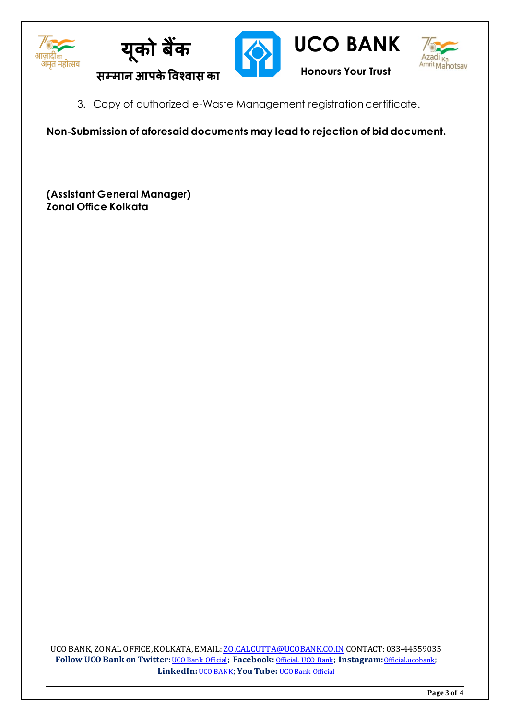







**को बैंक UCO BANK**

3. Copy of authorized e-Waste Management registration certificate.

**\_\_\_\_\_\_\_\_\_\_\_\_\_\_\_\_\_\_\_\_\_\_\_\_\_\_\_\_\_\_\_\_\_\_\_\_\_\_\_\_\_\_\_\_\_\_\_\_\_\_\_\_\_\_\_\_\_\_\_\_\_\_\_\_\_\_\_\_\_\_\_\_\_\_\_\_\_\_\_\_\_**

**Non-Submission of aforesaid documents may lead to rejection of bid document.**

**(Assistant General Manager) Zonal Office Kolkata**